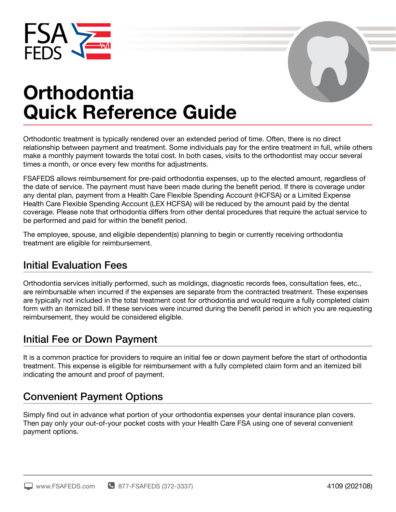



# **Orthodontia Quick Reference Guide**

Orthodontic treatment is typically rendered over an extended period of time. Often, there is no direct relationship between payment and treatment. Some individuals pay for the entire treatment in full, while others make a monthly payment towards the total cost. In both cases, visits to the orthodontist may occur several times a month, or once every few months for adjustments.

FSAFEDS allows reimbursement for pre-paid orthodontia expenses, up to the elected amount, regardless of the date of service. The payment must have been made during the benefit period. If there is coverage under any dental plan, payment from a Health Care Flexible Spending Account (HCFSA) or a Limited Expense Health Care Flexible Spending Account (LEX HCFSA) will be reduced by the amount paid by the dental coverage. Please note that orthodontia differs from other dental procedures that require the actual service to be performed and paid for within the benefit period.

The employee, spouse, and eligible dependent(s) planning to begin or currently receiving orthodontia treatment are eligible for reimbursement.

## Initial Evaluation Fees

Orthodontia services initially performed, such as moldings, diagnostic records fees, consultation fees, etc., are reimbursable when incurred if the expenses are separate from the contracted treatment. These expenses are typically not included in the total treatment cost for orthodontia and would require a fully completed claim form with an itemized bill. If these services were incurred during the benefit period in which you are requesting reimbursement, they would be considered eligible.

## Initial Fee or Down Payment

It is a common practice for providers to require an initial fee or down payment before the start of orthodontia treatment. This expense is eligible for reimbursement with a fully completed claim form and an itemized bill indicating the amount and proof of payment.

## Convenient Payment Options

Simply find out in advance what portion of your orthodontia expenses your dental insurance plan covers. Then pay only your out-of-your pocket costs with your Health Care FSA using one of several convenient payment options.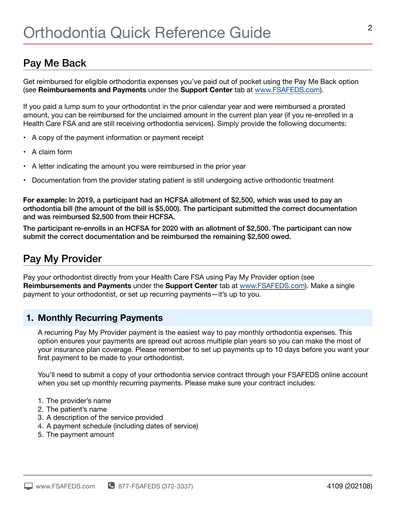## Pay Me Back

Get reimbursed for eligible orthodontia expenses you've paid out of pocket using the Pay Me Back option (see **Reimbursements and Payments** under the **Support Center** tab a[t www.FSAFEDS.com\)](http:// www.FSAFEDS.com).

If you paid a lump sum to your orthodontist in the prior calendar year and were reimbursed a prorated amount, you can be reimbursed for the unclaimed amount in the current plan year (if you re-enrolled in a Health Care FSA and are still receiving orthodontia services). Simply provide the following documents:

- A copy of the payment information or payment receipt
- A claim form
- A letter indicating the amount you were reimbursed in the prior year
- Documentation from the provider stating patient is still undergoing active orthodontic treatment

**For example**: In 2019, a participant had an HCFSA allotment of \$2,500, which was used to pay an orthodontia bill (the amount of the bill is \$5,000). The participant submitted the correct documentation and was reimbursed \$2,500 from their HCFSA.

The participant re-enrolls in an HCFSA for 2020 with an allotment of \$2,500. The participant can now submit the correct documentation and be reimbursed the remaining \$2,500 owed.

## Pay My Provider

Pay your orthodontist directly from your Health Care FSA using Pay My Provider option (see **Reimbursements and Payments** under the **Support Center** tab at [www.FSAFEDS.com\)](http://www.FSAFEDS.com). Make a single payment to your orthodontist, or set up recurring payments—it's up to you.

#### **1. Monthly Recurring Payments**

A recurring Pay My Provider payment is the easiest way to pay monthly orthodontia expenses. This option ensures your payments are spread out across multiple plan years so you can make the most of your insurance plan coverage. Please remember to set up payments up to 10 days before you want your first payment to be made to your orthodontist.

You'll need to submit a copy of your orthodontia service contract through your FSAFEDS online account when you set up monthly recurring payments. Please make sure your contract includes:

- 1. The provider's name
- 2. The patient's name
- 3. A description of the service provided
- 4. A payment schedule (including dates of service)
- 5. The payment amount